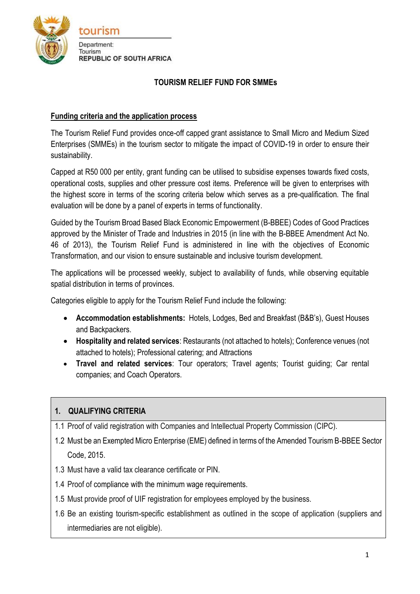

#### **TOURISM RELIEF FUND FOR SMMEs**

#### **Funding criteria and the application process**

The Tourism Relief Fund provides once-off capped grant assistance to Small Micro and Medium Sized Enterprises (SMMEs) in the tourism sector to mitigate the impact of COVID-19 in order to ensure their sustainability.

Capped at R50 000 per entity, grant funding can be utilised to subsidise expenses towards fixed costs, operational costs, supplies and other pressure cost items. Preference will be given to enterprises with the highest score in terms of the scoring criteria below which serves as a pre-qualification. The final evaluation will be done by a panel of experts in terms of functionality.

Guided by the Tourism Broad Based Black Economic Empowerment (B-BBEE) Codes of Good Practices approved by the Minister of Trade and Industries in 2015 (in line with the B-BBEE Amendment Act No. 46 of 2013), the Tourism Relief Fund is administered in line with the objectives of Economic Transformation, and our vision to ensure sustainable and inclusive tourism development.

The applications will be processed weekly, subject to availability of funds, while observing equitable spatial distribution in terms of provinces.

Categories eligible to apply for the Tourism Relief Fund include the following:

- **Accommodation establishments:** Hotels, Lodges, Bed and Breakfast (B&B's), Guest Houses and Backpackers.
- **Hospitality and related services**: Restaurants (not attached to hotels); Conference venues (not attached to hotels); Professional catering; and Attractions
- **Travel and related services**: Tour operators; Travel agents; Tourist guiding; Car rental companies; and Coach Operators.

## **1. QUALIFYING CRITERIA**

- 1.1 Proof of valid registration with Companies and Intellectual Property Commission (CIPC).
- 1.2 Must be an Exempted Micro Enterprise (EME) defined in terms of the Amended Tourism B-BBEE Sector Code, 2015.
- 1.3 Must have a valid tax clearance certificate or PIN.
- 1.4 Proof of compliance with the minimum wage requirements.
- 1.5 Must provide proof of UIF registration for employees employed by the business.
- 1.6 Be an existing tourism-specific establishment as outlined in the scope of application (suppliers and intermediaries are not eligible).